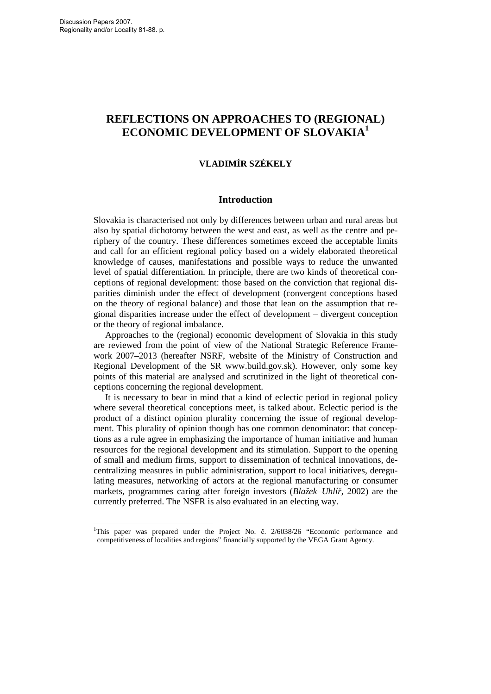$\overline{a}$ 

# **REFLECTIONS ON APPROACHES TO (REGIONAL) ECONOMIC DEVELOPMENT OF SLOVAKIA<sup>1</sup>**

# **VLADIMÍR SZÉKELY**

## **Introduction**

Slovakia is characterised not only by differences between urban and rural areas but also by spatial dichotomy between the west and east, as well as the centre and periphery of the country. These differences sometimes exceed the acceptable limits and call for an efficient regional policy based on a widely elaborated theoretical knowledge of causes, manifestations and possible ways to reduce the unwanted level of spatial differentiation. In principle, there are two kinds of theoretical conceptions of regional development: those based on the conviction that regional disparities diminish under the effect of development (convergent conceptions based on the theory of regional balance) and those that lean on the assumption that regional disparities increase under the effect of development – divergent conception or the theory of regional imbalance.

Approaches to the (regional) economic development of Slovakia in this study are reviewed from the point of view of the National Strategic Reference Framework 2007–2013 (hereafter NSRF, website of the Ministry of Construction and Regional Development of the SR www.build.gov.sk). However, only some key points of this material are analysed and scrutinized in the light of theoretical conceptions concerning the regional development.

It is necessary to bear in mind that a kind of eclectic period in regional policy where several theoretical conceptions meet, is talked about. Eclectic period is the product of a distinct opinion plurality concerning the issue of regional development. This plurality of opinion though has one common denominator: that conceptions as a rule agree in emphasizing the importance of human initiative and human resources for the regional development and its stimulation. Support to the opening of small and medium firms, support to dissemination of technical innovations, decentralizing measures in public administration, support to local initiatives, deregulating measures, networking of actors at the regional manufacturing or consumer markets, programmes caring after foreign investors (*Blažek–Uhlíř,* 2002) are the currently preferred. The NSFR is also evaluated in an electing way.

<sup>&</sup>lt;sup>1</sup>This paper was prepared under the Project No. č. 2/6038/26 "Economic performance and competitiveness of localities and regions" financially supported by the VEGA Grant Agency.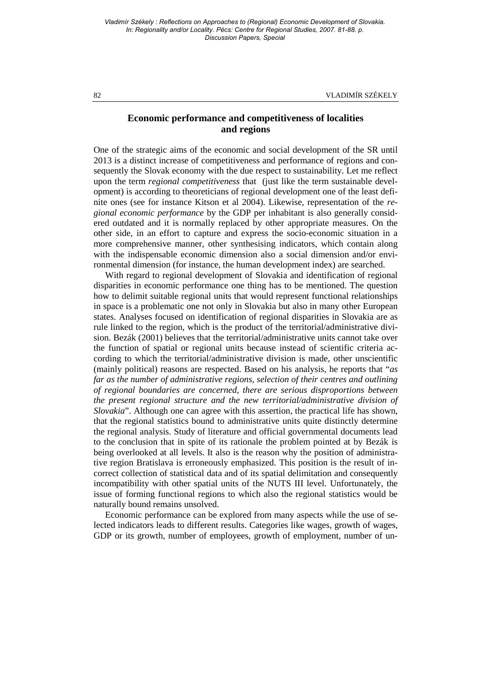82 VLADIMÍR SZÉKELY

## **Economic performance and competitiveness of localities and regions**

One of the strategic aims of the economic and social development of the SR until 2013 is a distinct increase of competitiveness and performance of regions and consequently the Slovak economy with the due respect to sustainability. Let me reflect upon the term *regional competitiveness* that (just like the term sustainable development) is according to theoreticians of regional development one of the least definite ones (see for instance Kitson et al 2004). Likewise, representation of the *regional economic performance* by the GDP per inhabitant is also generally considered outdated and it is normally replaced by other appropriate measures. On the other side, in an effort to capture and express the socio-economic situation in a more comprehensive manner, other synthesising indicators, which contain along with the indispensable economic dimension also a social dimension and/or environmental dimension (for instance, the human development index) are searched.

With regard to regional development of Slovakia and identification of regional disparities in economic performance one thing has to be mentioned. The question how to delimit suitable regional units that would represent functional relationships in space is a problematic one not only in Slovakia but also in many other European states. Analyses focused on identification of regional disparities in Slovakia are as rule linked to the region, which is the product of the territorial/administrative division. Bezák (2001) believes that the territorial/administrative units cannot take over the function of spatial or regional units because instead of scientific criteria according to which the territorial/administrative division is made, other unscientific (mainly political) reasons are respected. Based on his analysis, he reports that "*as far as the number of administrative regions, selection of their centres and outlining of regional boundaries are concerned, there are serious disproportions between the present regional structure and the new territorial/administrative division of Slovakia*". Although one can agree with this assertion, the practical life has shown, that the regional statistics bound to administrative units quite distinctly determine the regional analysis. Study of literature and official governmental documents lead to the conclusion that in spite of its rationale the problem pointed at by Bezák is being overlooked at all levels. It also is the reason why the position of administrative region Bratislava is erroneously emphasized. This position is the result of incorrect collection of statistical data and of its spatial delimitation and consequently incompatibility with other spatial units of the NUTS III level. Unfortunately, the issue of forming functional regions to which also the regional statistics would be naturally bound remains unsolved.

Economic performance can be explored from many aspects while the use of selected indicators leads to different results. Categories like wages, growth of wages, GDP or its growth, number of employees, growth of employment, number of un-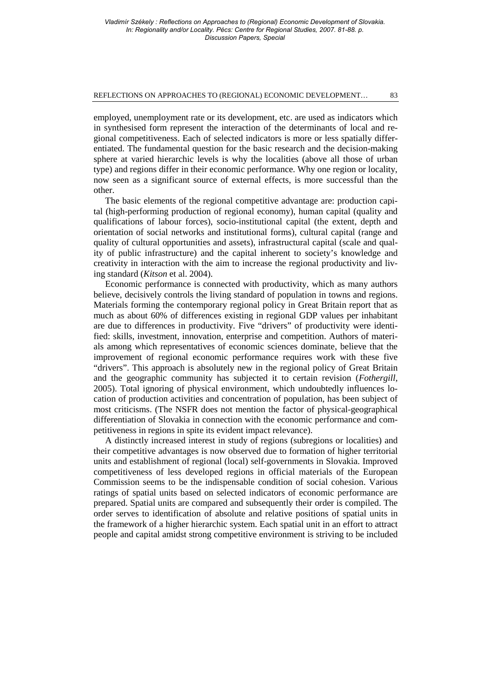#### REFLECTIONS ON APPROACHES TO (REGIONAL) ECONOMIC DEVELOPMENT… 83

employed, unemployment rate or its development, etc. are used as indicators which in synthesised form represent the interaction of the determinants of local and regional competitiveness. Each of selected indicators is more or less spatially differentiated. The fundamental question for the basic research and the decision-making sphere at varied hierarchic levels is why the localities (above all those of urban type) and regions differ in their economic performance. Why one region or locality, now seen as a significant source of external effects, is more successful than the other.

The basic elements of the regional competitive advantage are: production capital (high-performing production of regional economy), human capital (quality and qualifications of labour forces), socio-institutional capital (the extent, depth and orientation of social networks and institutional forms), cultural capital (range and quality of cultural opportunities and assets), infrastructural capital (scale and quality of public infrastructure) and the capital inherent to society's knowledge and creativity in interaction with the aim to increase the regional productivity and living standard (*Kitson* et al. 2004).

Economic performance is connected with productivity, which as many authors believe, decisively controls the living standard of population in towns and regions. Materials forming the contemporary regional policy in Great Britain report that as much as about 60% of differences existing in regional GDP values per inhabitant are due to differences in productivity. Five "drivers" of productivity were identified: skills, investment, innovation, enterprise and competition. Authors of materials among which representatives of economic sciences dominate, believe that the improvement of regional economic performance requires work with these five "drivers". This approach is absolutely new in the regional policy of Great Britain and the geographic community has subjected it to certain revision (*Fothergill,* 2005). Total ignoring of physical environment, which undoubtedly influences location of production activities and concentration of population, has been subject of most criticisms. (The NSFR does not mention the factor of physical-geographical differentiation of Slovakia in connection with the economic performance and competitiveness in regions in spite its evident impact relevance).

A distinctly increased interest in study of regions (subregions or localities) and their competitive advantages is now observed due to formation of higher territorial units and establishment of regional (local) self-governments in Slovakia. Improved competitiveness of less developed regions in official materials of the European Commission seems to be the indispensable condition of social cohesion. Various ratings of spatial units based on selected indicators of economic performance are prepared. Spatial units are compared and subsequently their order is compiled. The order serves to identification of absolute and relative positions of spatial units in the framework of a higher hierarchic system. Each spatial unit in an effort to attract people and capital amidst strong competitive environment is striving to be included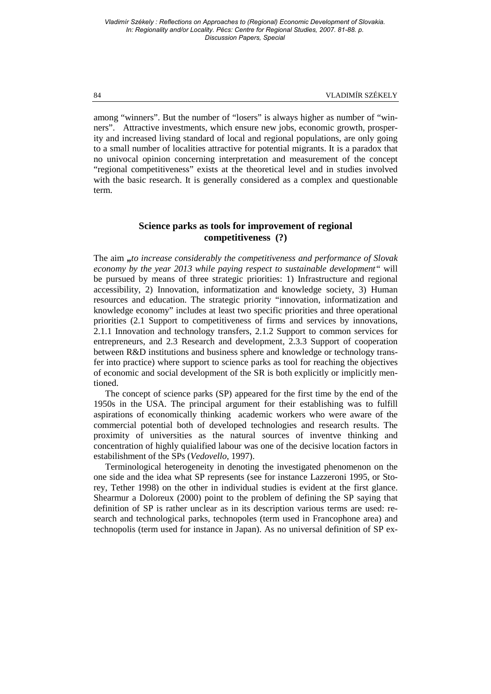among "winners". But the number of "losers" is always higher as number of "winners". Attractive investments, which ensure new jobs, economic growth, prosperity and increased living standard of local and regional populations, are only going to a small number of localities attractive for potential migrants. It is a paradox that no univocal opinion concerning interpretation and measurement of the concept "regional competitiveness" exists at the theoretical level and in studies involved with the basic research. It is generally considered as a complex and questionable term.

# **Science parks as tools for improvement of regional competitiveness (?)**

The aim **"***to increase considerably the competitiveness and performance of Slovak economy by the year 2013 while paying respect to sustainable development"* will be pursued by means of three strategic priorities: 1) Infrastructure and regional accessibility, 2) Innovation, informatization and knowledge society, 3) Human resources and education. The strategic priority "innovation, informatization and knowledge economy" includes at least two specific priorities and three operational priorities (2.1 Support to competitiveness of firms and services by innovations, 2.1.1 Innovation and technology transfers, 2.1.2 Support to common services for entrepreneurs, and 2.3 Research and development, 2.3.3 Support of cooperation between R&D institutions and business sphere and knowledge or technology transfer into practice) where support to science parks as tool for reaching the objectives of economic and social development of the SR is both explicitly or implicitly mentioned.

The concept of science parks (SP) appeared for the first time by the end of the 1950s in the USA. The principal argument for their establishing was to fulfill aspirations of economically thinking academic workers who were aware of the commercial potential both of developed technologies and research results. The proximity of universities as the natural sources of inventve thinking and concentration of highly quialified labour was one of the decisive location factors in estabilishment of the SPs (*Vedovello,* 1997).

Terminological heterogeneity in denoting the investigated phenomenon on the one side and the idea what SP represents (see for instance Lazzeroni 1995, or Storey, Tether 1998) on the other in individual studies is evident at the first glance. Shearmur a Doloreux (2000) point to the problem of defining the SP saying that definition of SP is rather unclear as in its description various terms are used: research and technological parks, technopoles (term used in Francophone area) and technopolis (term used for instance in Japan). As no universal definition of SP ex-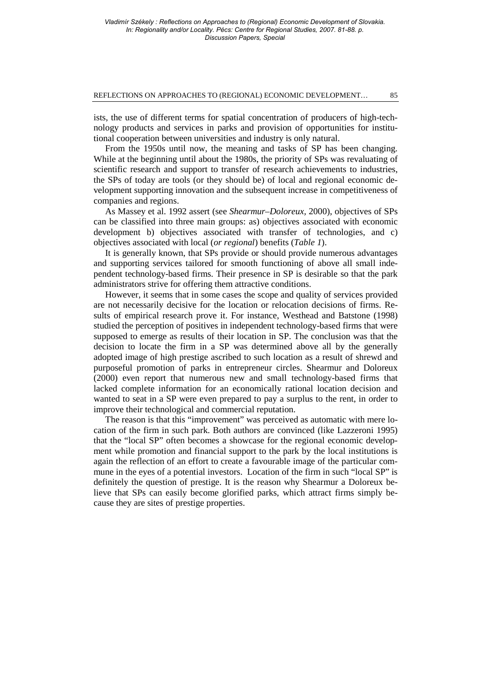#### REFLECTIONS ON APPROACHES TO (REGIONAL) ECONOMIC DEVELOPMENT… 85

ists, the use of different terms for spatial concentration of producers of high-technology products and services in parks and provision of opportunities for institutional cooperation between universities and industry is only natural.

From the 1950s until now, the meaning and tasks of SP has been changing. While at the beginning until about the 1980s, the priority of SPs was revaluating of scientific research and support to transfer of research achievements to industries, the SPs of today are tools (or they should be) of local and regional economic development supporting innovation and the subsequent increase in competitiveness of companies and regions.

As Massey et al. 1992 assert (see *Shearmur–Doloreux,* 2000), objectives of SPs can be classified into three main groups: as) objectives associated with economic development b) objectives associated with transfer of technologies, and c) objectives associated with local (*or regional*) benefits (*Table 1*).

It is generally known, that SPs provide or should provide numerous advantages and supporting services tailored for smooth functioning of above all small independent technology-based firms. Their presence in SP is desirable so that the park administrators strive for offering them attractive conditions.

However, it seems that in some cases the scope and quality of services provided are not necessarily decisive for the location or relocation decisions of firms. Results of empirical research prove it. For instance, Westhead and Batstone (1998) studied the perception of positives in independent technology-based firms that were supposed to emerge as results of their location in SP. The conclusion was that the decision to locate the firm in a SP was determined above all by the generally adopted image of high prestige ascribed to such location as a result of shrewd and purposeful promotion of parks in entrepreneur circles. Shearmur and Doloreux (2000) even report that numerous new and small technology-based firms that lacked complete information for an economically rational location decision and wanted to seat in a SP were even prepared to pay a surplus to the rent, in order to improve their technological and commercial reputation.

The reason is that this "improvement" was perceived as automatic with mere location of the firm in such park. Both authors are convinced (like Lazzeroni 1995) that the "local SP" often becomes a showcase for the regional economic development while promotion and financial support to the park by the local institutions is again the reflection of an effort to create a favourable image of the particular commune in the eyes of a potential investors. Location of the firm in such "local SP" is definitely the question of prestige. It is the reason why Shearmur a Doloreux believe that SPs can easily become glorified parks, which attract firms simply because they are sites of prestige properties.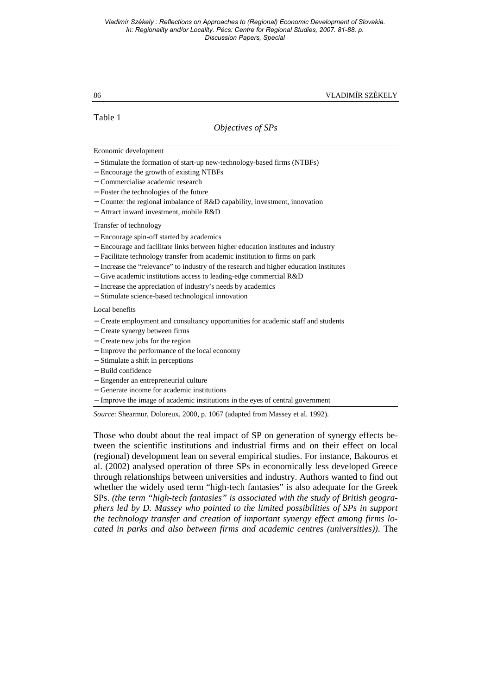86 VLADIMÍR SZÉKELY

Table 1

# *Objectives of SPs*

## Economic development

- − Stimulate the formation of start-up new-technology-based firms (NTBFs)
- − Encourage the growth of existing NTBFs
- − Commercialise academic research
- − Foster the technologies of the future
- − Counter the regional imbalance of R&D capability, investment, innovation
- − Attract inward investment, mobile R&D

## Transfer of technology

- − Encourage spin-off started by academics
- − Encourage and facilitate links between higher education institutes and industry
- − Facilitate technology transfer from academic institution to firms on park
- − Increase the "relevance" to industry of the research and higher education institutes
- − Give academic institutions access to leading-edge commercial R&D
- − Increase the appreciation of industry's needs by academics
- − Stimulate science-based technological innovation

## Local benefits

- − Create employment and consultancy opportunities for academic staff and students
- − Create synergy between firms
- − Create new jobs for the region
- − Improve the performance of the local economy
- − Stimulate a shift in perceptions
- − Build confidence
- − Engender an entrepreneurial culture
- − Generate income for academic institutions
- − Improve the image of academic institutions in the eyes of central government

*Source*: Shearmur, Doloreux, 2000, p. 1067 (adapted from Massey et al. 1992).

Those who doubt about the real impact of SP on generation of synergy effects between the scientific institutions and industrial firms and on their effect on local (regional) development lean on several empirical studies. For instance, Bakouros et al. (2002) analysed operation of three SPs in economically less developed Greece through relationships between universities and industry. Authors wanted to find out whether the widely used term "high-tech fantasies" is also adequate for the Greek SPs. *(the term "high-tech fantasies" is associated with the study of British geographers led by D. Massey who pointed to the limited possibilities of SPs in support the technology transfer and creation of important synergy effect among firms located in parks and also between firms and academic centres (universities))*. The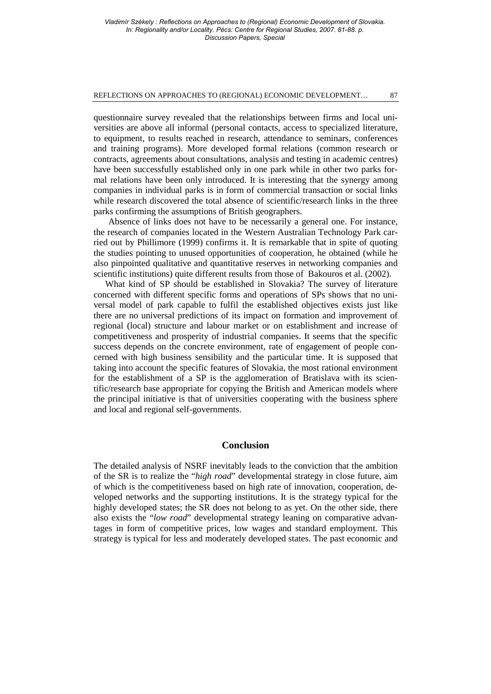#### REFLECTIONS ON APPROACHES TO (REGIONAL) ECONOMIC DEVELOPMENT… 87

questionnaire survey revealed that the relationships between firms and local universities are above all informal (personal contacts, access to specialized literature, to equipment, to results reached in research, attendance to seminars, conferences and training programs). More developed formal relations (common research or contracts, agreements about consultations, analysis and testing in academic centres) have been successfully established only in one park while in other two parks formal relations have been only introduced. It is interesting that the synergy among companies in individual parks is in form of commercial transaction or social links while research discovered the total absence of scientific/research links in the three parks confirming the assumptions of British geographers.

Absence of links does not have to be necessarily a general one. For instance, the research of companies located in the Western Australian Technology Park carried out by Phillimore (1999) confirms it. It is remarkable that in spite of quoting the studies pointing to unused opportunities of cooperation, he obtained (while he also pinpointed qualitative and quantitative reserves in networking companies and scientific institutions) quite different results from those of Bakouros et al. (2002).

What kind of SP should be established in Slovakia? The survey of literature concerned with different specific forms and operations of SPs shows that no universal model of park capable to fulfil the established objectives exists just like there are no universal predictions of its impact on formation and improvement of regional (local) structure and labour market or on establishment and increase of competitiveness and prosperity of industrial companies. It seems that the specific success depends on the concrete environment, rate of engagement of people concerned with high business sensibility and the particular time. It is supposed that taking into account the specific features of Slovakia, the most rational environment for the establishment of a SP is the agglomeration of Bratislava with its scientific/research base appropriate for copying the British and American models where the principal initiative is that of universities cooperating with the business sphere and local and regional self-governments.

## **Conclusion**

The detailed analysis of NSRF inevitably leads to the conviction that the ambition of the SR is to realize the "*high road*" developmental strategy in close future, aim of which is the competitiveness based on high rate of innovation, cooperation, developed networks and the supporting institutions. It is the strategy typical for the highly developed states; the SR does not belong to as yet. On the other side, there also exists the "*low road*" developmental strategy leaning on comparative advantages in form of competitive prices, low wages and standard employment. This strategy is typical for less and moderately developed states. The past economic and